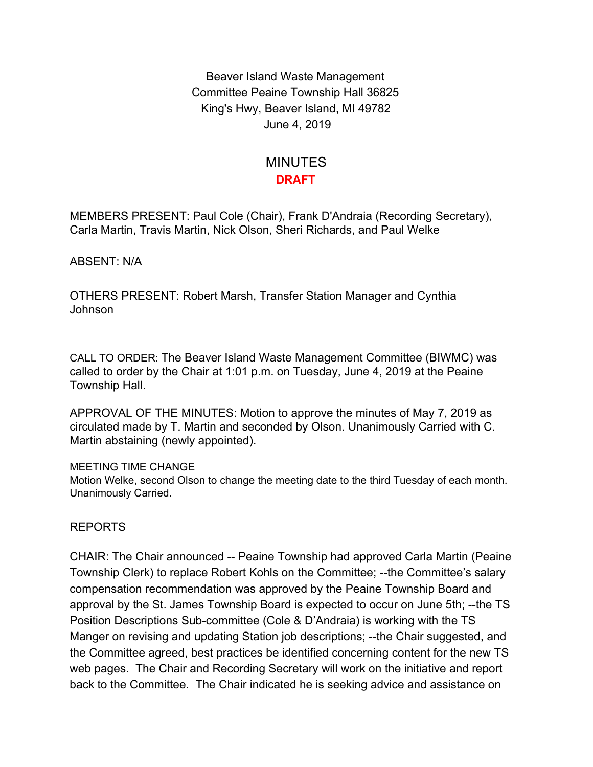Beaver Island Waste Management Committee Peaine Township Hall 36825 King's Hwy, Beaver Island, MI 49782 June 4, 2019

## MINUTES **DRAFT**

MEMBERS PRESENT: Paul Cole (Chair), Frank D'Andraia (Recording Secretary), Carla Martin, Travis Martin, Nick Olson, Sheri Richards, and Paul Welke

ABSENT: N/A

OTHERS PRESENT: Robert Marsh, Transfer Station Manager and Cynthia Johnson

CALL TO ORDER: The Beaver Island Waste Management Committee (BIWMC) was called to order by the Chair at 1:01 p.m. on Tuesday, June 4, 2019 at the Peaine Township Hall.

APPROVAL OF THE MINUTES: Motion to approve the minutes of May 7, 2019 as circulated made by T. Martin and seconded by Olson. Unanimously Carried with C. Martin abstaining (newly appointed).

## MEETING TIME CHANGE

Motion Welke, second Olson to change the meeting date to the third Tuesday of each month. Unanimously Carried.

## REPORTS

CHAIR: The Chair announced -- Peaine Township had approved Carla Martin (Peaine Township Clerk) to replace Robert Kohls on the Committee; --the Committee's salary compensation recommendation was approved by the Peaine Township Board and approval by the St. James Township Board is expected to occur on June 5th; --the TS Position Descriptions Sub-committee (Cole & D'Andraia) is working with the TS Manger on revising and updating Station job descriptions; --the Chair suggested, and the Committee agreed, best practices be identified concerning content for the new TS web pages. The Chair and Recording Secretary will work on the initiative and report back to the Committee. The Chair indicated he is seeking advice and assistance on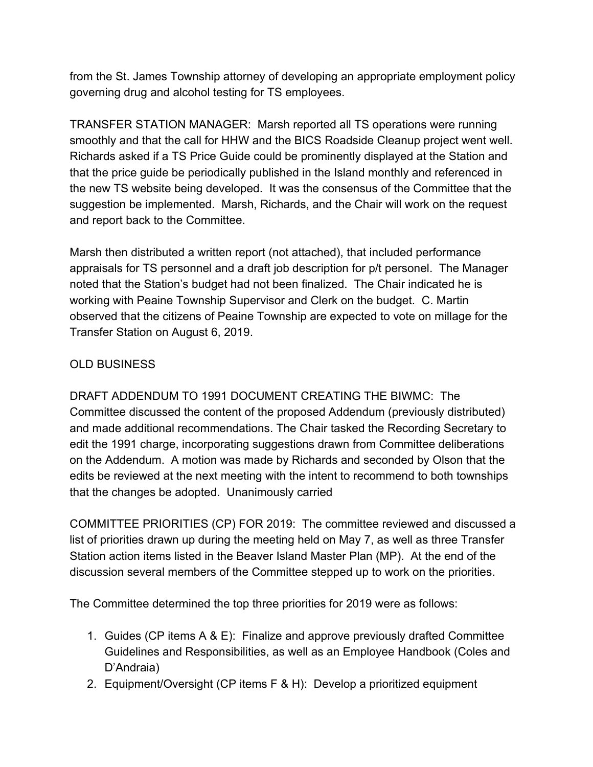from the St. James Township attorney of developing an appropriate employment policy governing drug and alcohol testing for TS employees.

TRANSFER STATION MANAGER: Marsh reported all TS operations were running smoothly and that the call for HHW and the BICS Roadside Cleanup project went well. Richards asked if a TS Price Guide could be prominently displayed at the Station and that the price guide be periodically published in the Island monthly and referenced in the new TS website being developed. It was the consensus of the Committee that the suggestion be implemented. Marsh, Richards, and the Chair will work on the request and report back to the Committee.

Marsh then distributed a written report (not attached), that included performance appraisals for TS personnel and a draft job description for p/t personel. The Manager noted that the Station's budget had not been finalized. The Chair indicated he is working with Peaine Township Supervisor and Clerk on the budget. C. Martin observed that the citizens of Peaine Township are expected to vote on millage for the Transfer Station on August 6, 2019.

## OLD BUSINESS

DRAFT ADDENDUM TO 1991 DOCUMENT CREATING THE BIWMC: The Committee discussed the content of the proposed Addendum (previously distributed) and made additional recommendations. The Chair tasked the Recording Secretary to edit the 1991 charge, incorporating suggestions drawn from Committee deliberations on the Addendum. A motion was made by Richards and seconded by Olson that the edits be reviewed at the next meeting with the intent to recommend to both townships that the changes be adopted. Unanimously carried

COMMITTEE PRIORITIES (CP) FOR 2019: The committee reviewed and discussed a list of priorities drawn up during the meeting held on May 7, as well as three Transfer Station action items listed in the Beaver Island Master Plan (MP). At the end of the discussion several members of the Committee stepped up to work on the priorities.

The Committee determined the top three priorities for 2019 were as follows:

- 1. Guides (CP items A & E): Finalize and approve previously drafted Committee Guidelines and Responsibilities, as well as an Employee Handbook (Coles and D'Andraia)
- 2. Equipment/Oversight (CP items F & H): Develop a prioritized equipment